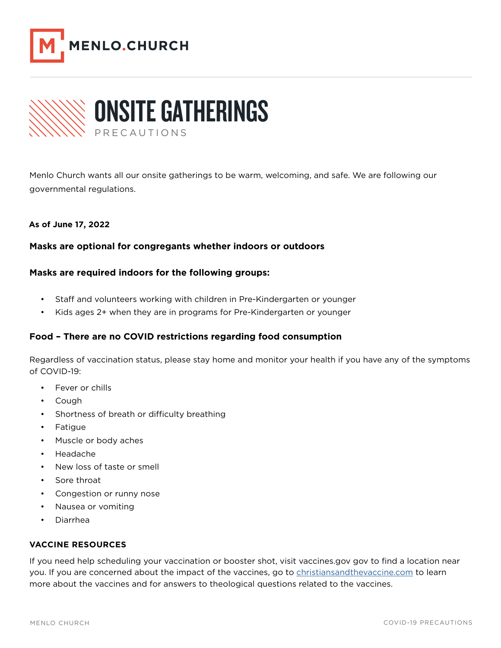



Menlo Church wants all our onsite gatherings to be warm, welcoming, and safe. We are following our governmental regulations.

## As of June **17, 2022**

### Masks are optional for congregants whether indoors or outdoors stations are operation for

# Masks are required indoors for the following groups:

- Staff and volunteers working with children in Pre-Kindergarten or younger
- Kids ages 2+ when they are in programs for Pre-Kindergarten or younger

# Food - There are no COVID restrictions regarding food consumption

Regardless of vaccination status, please stay home and monitor your health if you have any of the symptoms of COVID-19:  $O(VD-19)$ 

- Fever or chills
- Congestion or runny nose • Cough
- Nausea or vomiting • Shortness of breath or difficulty breathing
- Fatigue  $\blacksquare$ If are unvaccinated and any of the following circumstances apply to you, please join us online  $\blacksquare$
- Muscle or body aches
- If you are unvaccinated and any of the following circumstances apply to you, please join us online • Headache
- instead of coming onsite: • New loss of taste or smell
	- $\overline{S}$ Ore throat • Sore throat **bluesses**
	- Congestion or runny nose
	- Nausea or vomiting<br>• Nausea or vomiting
	- extend outside of California in the last 10 days 10 days 10 days 10 days 10 days 10 days 10 days 10 days 10 days 10 days 10 days 10 days 10 days 10 days 10 days 10 days 10 days 10 days 10 days 10 days 10 days 10 days 10 da • Diarrhea

#### **VACCINE RESOURCES VACCINE RESOURCES**  $\overline{S}$  you need there show the shot show to find a location or booster show, visit vacation a location a location a location a location  $\overline{S}$

If you need help scheduling your vaccination or booster shot, visit vaccines.gov gov to find a location near you. If you are concerned about the impact of the vaccines, go to **christiansandthevaccine.com** to learn more about the vaccines and for answers to theological questions related to the vaccines.